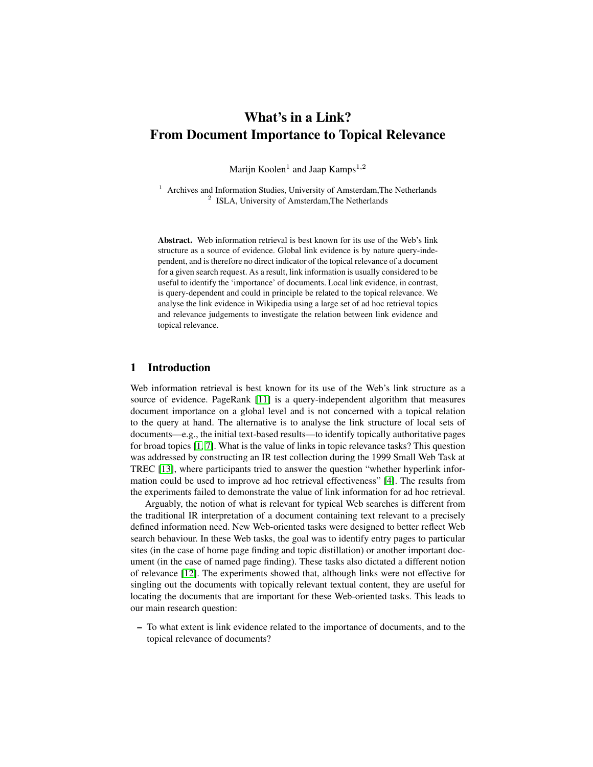# What's in a Link? From Document Importance to Topical Relevance

Marijn Koolen<sup>1</sup> and Jaap Kamps<sup>1,2</sup>

<sup>1</sup> Archives and Information Studies, University of Amsterdam, The Netherlands <sup>2</sup> ISLA, University of Amsterdam, The Netherlands

Abstract. Web information retrieval is best known for its use of the Web's link structure as a source of evidence. Global link evidence is by nature query-independent, and is therefore no direct indicator of the topical relevance of a document for a given search request. As a result, link information is usually considered to be useful to identify the 'importance' of documents. Local link evidence, in contrast, is query-dependent and could in principle be related to the topical relevance. We analyse the link evidence in Wikipedia using a large set of ad hoc retrieval topics and relevance judgements to investigate the relation between link evidence and topical relevance.

## 1 Introduction

Web information retrieval is best known for its use of the Web's link structure as a source of evidence. PageRank [\[11\]](#page-7-0) is a query-independent algorithm that measures document importance on a global level and is not concerned with a topical relation to the query at hand. The alternative is to analyse the link structure of local sets of documents—e.g., the initial text-based results—to identify topically authoritative pages for broad topics [\[1,](#page-7-1) [7\]](#page-7-2). What is the value of links in topic relevance tasks? This question was addressed by constructing an IR test collection during the 1999 Small Web Task at TREC [\[13\]](#page-7-3), where participants tried to answer the question "whether hyperlink information could be used to improve ad hoc retrieval effectiveness" [\[4\]](#page-7-4). The results from the experiments failed to demonstrate the value of link information for ad hoc retrieval.

Arguably, the notion of what is relevant for typical Web searches is different from the traditional IR interpretation of a document containing text relevant to a precisely defined information need. New Web-oriented tasks were designed to better reflect Web search behaviour. In these Web tasks, the goal was to identify entry pages to particular sites (in the case of home page finding and topic distillation) or another important document (in the case of named page finding). These tasks also dictated a different notion of relevance [\[12\]](#page-7-5). The experiments showed that, although links were not effective for singling out the documents with topically relevant textual content, they are useful for locating the documents that are important for these Web-oriented tasks. This leads to our main research question:

– To what extent is link evidence related to the importance of documents, and to the topical relevance of documents?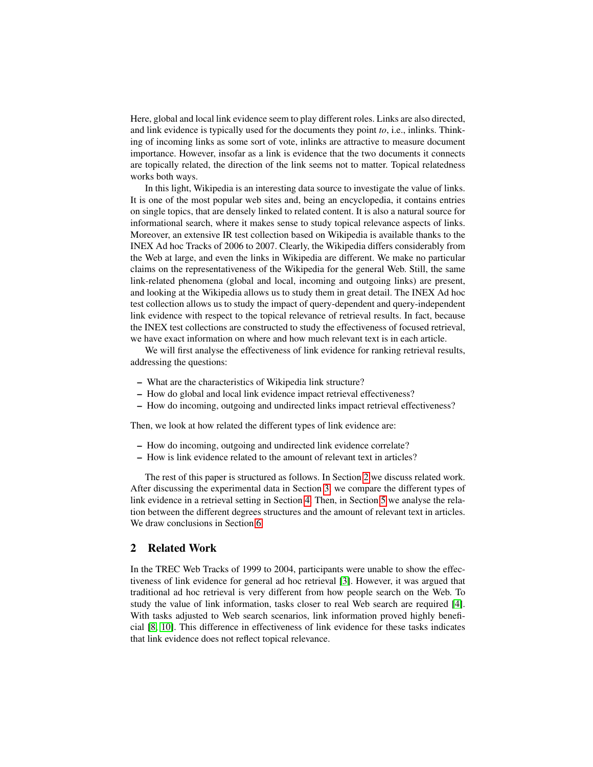Here, global and local link evidence seem to play different roles. Links are also directed, and link evidence is typically used for the documents they point *to*, i.e., inlinks. Thinking of incoming links as some sort of vote, inlinks are attractive to measure document importance. However, insofar as a link is evidence that the two documents it connects are topically related, the direction of the link seems not to matter. Topical relatedness works both ways.

In this light, Wikipedia is an interesting data source to investigate the value of links. It is one of the most popular web sites and, being an encyclopedia, it contains entries on single topics, that are densely linked to related content. It is also a natural source for informational search, where it makes sense to study topical relevance aspects of links. Moreover, an extensive IR test collection based on Wikipedia is available thanks to the INEX Ad hoc Tracks of 2006 to 2007. Clearly, the Wikipedia differs considerably from the Web at large, and even the links in Wikipedia are different. We make no particular claims on the representativeness of the Wikipedia for the general Web. Still, the same link-related phenomena (global and local, incoming and outgoing links) are present, and looking at the Wikipedia allows us to study them in great detail. The INEX Ad hoc test collection allows us to study the impact of query-dependent and query-independent link evidence with respect to the topical relevance of retrieval results. In fact, because the INEX test collections are constructed to study the effectiveness of focused retrieval, we have exact information on where and how much relevant text is in each article.

We will first analyse the effectiveness of link evidence for ranking retrieval results, addressing the questions:

- What are the characteristics of Wikipedia link structure?
- How do global and local link evidence impact retrieval effectiveness?
- How do incoming, outgoing and undirected links impact retrieval effectiveness?

Then, we look at how related the different types of link evidence are:

- How do incoming, outgoing and undirected link evidence correlate?
- How is link evidence related to the amount of relevant text in articles?

The rest of this paper is structured as follows. In Section [2](#page-1-0) we discuss related work. After discussing the experimental data in Section [3,](#page-2-0) we compare the different types of link evidence in a retrieval setting in Section [4.](#page-3-0) Then, in Section [5](#page-4-0) we analyse the relation between the different degrees structures and the amount of relevant text in articles. We draw conclusions in Section [6.](#page-6-0)

## <span id="page-1-0"></span>2 Related Work

In the TREC Web Tracks of 1999 to 2004, participants were unable to show the effectiveness of link evidence for general ad hoc retrieval [\[3\]](#page-7-6). However, it was argued that traditional ad hoc retrieval is very different from how people search on the Web. To study the value of link information, tasks closer to real Web search are required [\[4\]](#page-7-4). With tasks adjusted to Web search scenarios, link information proved highly beneficial [\[8,](#page-7-7) [10\]](#page-7-8). This difference in effectiveness of link evidence for these tasks indicates that link evidence does not reflect topical relevance.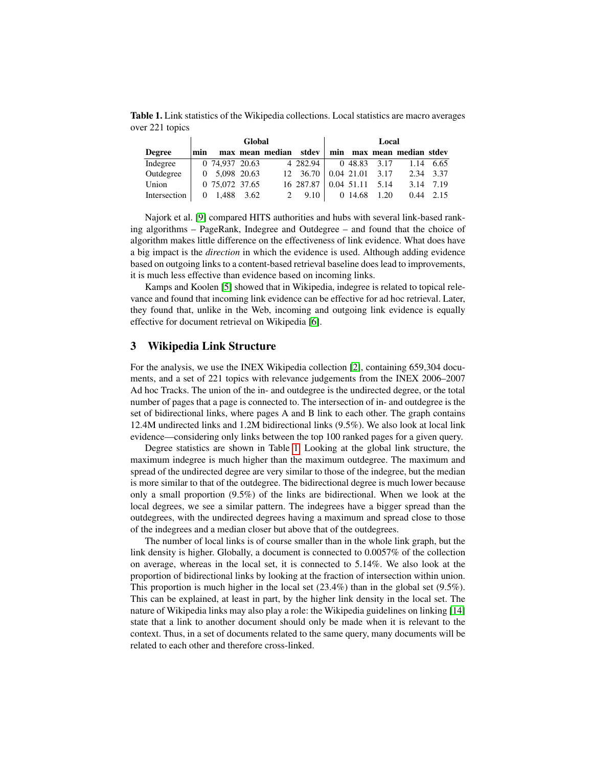<span id="page-2-1"></span>Table 1. Link statistics of the Wikipedia collections. Local statistics are macro averages over 221 topics

|               |     |                | Global |                 | Local     |  |              |                   |                           |           |
|---------------|-----|----------------|--------|-----------------|-----------|--|--------------|-------------------|---------------------------|-----------|
| <b>Degree</b> | min |                |        | max mean median | stdev     |  |              |                   | min max mean median stdev |           |
| Indegree      |     | 0 74,937 20.63 |        |                 | 4 282.94  |  |              | 0 48.83 3.17      |                           | 1.14 6.65 |
| Outdegree     |     | 0 5.098 20.63  |        |                 | 12 36.70  |  |              | $0.04$ 21.01 3.17 |                           | 2.34 3.37 |
| Union         |     | 0 75,072 37.65 |        |                 | 16 287.87 |  | $0.04$ 51.11 | 5.14              | 3.14                      | 7.19      |
| Intersection  | 0   | 1.488          | 3.62   |                 | 9.10      |  | 0 14.68      | 1.20              | 0.44                      | 2.15      |

Najork et al. [\[9\]](#page-7-9) compared HITS authorities and hubs with several link-based ranking algorithms – PageRank, Indegree and Outdegree – and found that the choice of algorithm makes little difference on the effectiveness of link evidence. What does have a big impact is the *direction* in which the evidence is used. Although adding evidence based on outgoing links to a content-based retrieval baseline does lead to improvements, it is much less effective than evidence based on incoming links.

Kamps and Koolen [\[5\]](#page-7-10) showed that in Wikipedia, indegree is related to topical relevance and found that incoming link evidence can be effective for ad hoc retrieval. Later, they found that, unlike in the Web, incoming and outgoing link evidence is equally effective for document retrieval on Wikipedia [\[6\]](#page-7-11).

## <span id="page-2-0"></span>3 Wikipedia Link Structure

For the analysis, we use the INEX Wikipedia collection [\[2\]](#page-7-12), containing 659,304 documents, and a set of 221 topics with relevance judgements from the INEX 2006–2007 Ad hoc Tracks. The union of the in- and outdegree is the undirected degree, or the total number of pages that a page is connected to. The intersection of in- and outdegree is the set of bidirectional links, where pages A and B link to each other. The graph contains 12.4M undirected links and 1.2M bidirectional links (9.5%). We also look at local link evidence—considering only links between the top 100 ranked pages for a given query.

Degree statistics are shown in Table [1.](#page-2-1) Looking at the global link structure, the maximum indegree is much higher than the maximum outdegree. The maximum and spread of the undirected degree are very similar to those of the indegree, but the median is more similar to that of the outdegree. The bidirectional degree is much lower because only a small proportion (9.5%) of the links are bidirectional. When we look at the local degrees, we see a similar pattern. The indegrees have a bigger spread than the outdegrees, with the undirected degrees having a maximum and spread close to those of the indegrees and a median closer but above that of the outdegrees.

The number of local links is of course smaller than in the whole link graph, but the link density is higher. Globally, a document is connected to 0.0057% of the collection on average, whereas in the local set, it is connected to 5.14%. We also look at the proportion of bidirectional links by looking at the fraction of intersection within union. This proportion is much higher in the local set  $(23.4%)$  than in the global set  $(9.5%)$ . This can be explained, at least in part, by the higher link density in the local set. The nature of Wikipedia links may also play a role: the Wikipedia guidelines on linking [\[14\]](#page-7-13) state that a link to another document should only be made when it is relevant to the context. Thus, in a set of documents related to the same query, many documents will be related to each other and therefore cross-linked.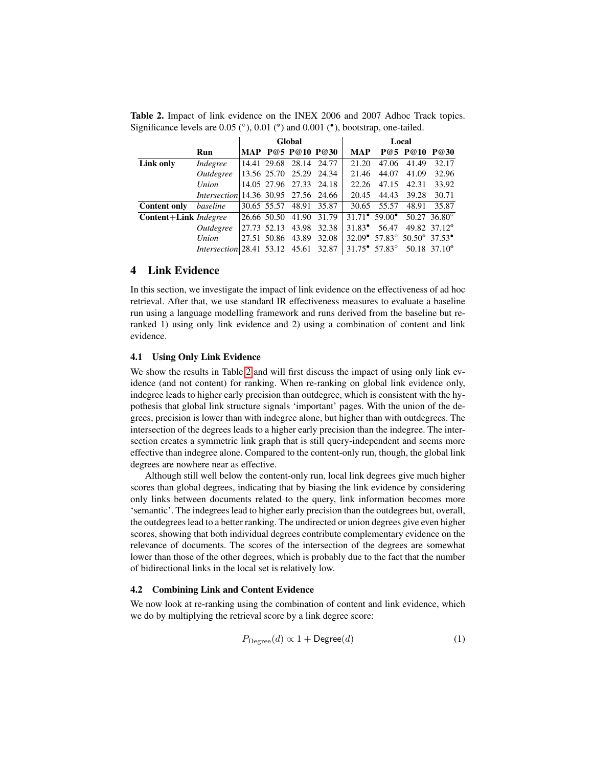|                       |                                              |             | Global                  |       | Local           |                                                                    |       |                          |  |
|-----------------------|----------------------------------------------|-------------|-------------------------|-------|-----------------|--------------------------------------------------------------------|-------|--------------------------|--|
|                       | Run                                          |             | MAP P@5 P@10 P@30       |       | MAP             |                                                                    |       | P@5 P@10 P@30            |  |
| Link only             | Indegree                                     |             | 14.41 29.68 28.14 24.77 |       | 21.20           | 47.06                                                              | 41.49 | 32.17                    |  |
|                       | Outdegree                                    |             | 13.56 25.70 25.29 24.34 |       | 21.46           | 44.07                                                              | 41.09 | 32.96                    |  |
|                       | Union                                        |             | 14.05 27.96 27.33 24.18 |       | 22.26           | 47.15                                                              | 42.31 | 33.92                    |  |
|                       | <i>Intersection</i> 14.36 30.95 27.56 24.66  |             |                         |       | 20.45           | 44.43                                                              | 39.28 | 30.71                    |  |
| <b>Content only</b>   | baseline                                     |             | 30.65 55.57 48.91       | 35.87 | 30.65           | 55.57                                                              | 48.91 | 35.87                    |  |
| Content+Link Indegree |                                              | 26.66 50.50 | 41.90                   | 31.79 |                 | $31.71^{\circ}$ 59.00° 50.27 36.80°                                |       |                          |  |
|                       | Outdegree                                    | 27.73 52.13 | 43.98                   | 32.38 | $31.83^{\circ}$ | 56.47                                                              |       | 49.82 37.12 <sup>°</sup> |  |
|                       | Union                                        | 27.51 50.86 | 43.89                   | 32.08 |                 | $32.09^{\circ}$ 57.83 $^{\circ}$ 50.50 $^{\circ}$ 37.53 $^{\circ}$ |       |                          |  |
|                       | <i>Intersection</i> $ 28.41 \t53.12 \t45.61$ |             |                         | 32.87 |                 | $31.75^{\circ}$ 57.83° 50.18 37.10°                                |       |                          |  |

<span id="page-3-1"></span>Table 2. Impact of link evidence on the INEX 2006 and 2007 Adhoc Track topics. Significance levels are  $0.05$  ( $^{\circ}$ ),  $0.01$  ( $^{\circ}$ ) and  $0.001$  ( $^{\bullet}$ ), bootstrap, one-tailed.

## <span id="page-3-0"></span>4 Link Evidence

In this section, we investigate the impact of link evidence on the effectiveness of ad hoc retrieval. After that, we use standard IR effectiveness measures to evaluate a baseline run using a language modelling framework and runs derived from the baseline but reranked 1) using only link evidence and 2) using a combination of content and link evidence.

#### 4.1 Using Only Link Evidence

We show the results in Table [2](#page-3-1) and will first discuss the impact of using only link evidence (and not content) for ranking. When re-ranking on global link evidence only, indegree leads to higher early precision than outdegree, which is consistent with the hypothesis that global link structure signals 'important' pages. With the union of the degrees, precision is lower than with indegree alone, but higher than with outdegrees. The intersection of the degrees leads to a higher early precision than the indegree. The intersection creates a symmetric link graph that is still query-independent and seems more effective than indegree alone. Compared to the content-only run, though, the global link degrees are nowhere near as effective.

Although still well below the content-only run, local link degrees give much higher scores than global degrees, indicating that by biasing the link evidence by considering only links between documents related to the query, link information becomes more 'semantic'. The indegrees lead to higher early precision than the outdegrees but, overall, the outdegrees lead to a better ranking. The undirected or union degrees give even higher scores, showing that both individual degrees contribute complementary evidence on the relevance of documents. The scores of the intersection of the degrees are somewhat lower than those of the other degrees, which is probably due to the fact that the number of bidirectional links in the local set is relatively low.

#### 4.2 Combining Link and Content Evidence

We now look at re-ranking using the combination of content and link evidence, which we do by multiplying the retrieval score by a link degree score:

$$
P_{\text{Degree}}(d) \propto 1 + \text{Degree}(d) \tag{1}
$$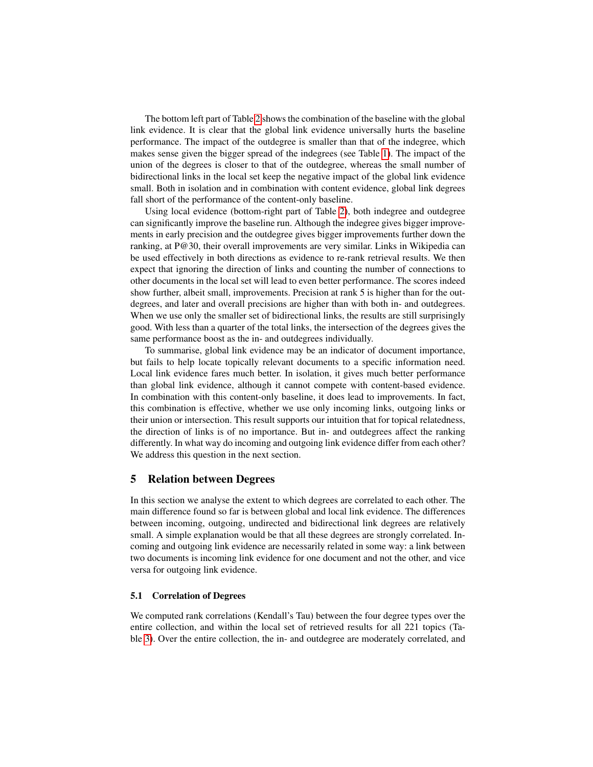The bottom left part of Table [2](#page-3-1) shows the combination of the baseline with the global link evidence. It is clear that the global link evidence universally hurts the baseline performance. The impact of the outdegree is smaller than that of the indegree, which makes sense given the bigger spread of the indegrees (see Table [1\)](#page-2-1). The impact of the union of the degrees is closer to that of the outdegree, whereas the small number of bidirectional links in the local set keep the negative impact of the global link evidence small. Both in isolation and in combination with content evidence, global link degrees fall short of the performance of the content-only baseline.

Using local evidence (bottom-right part of Table [2\)](#page-3-1), both indegree and outdegree can significantly improve the baseline run. Although the indegree gives bigger improvements in early precision and the outdegree gives bigger improvements further down the ranking, at P@30, their overall improvements are very similar. Links in Wikipedia can be used effectively in both directions as evidence to re-rank retrieval results. We then expect that ignoring the direction of links and counting the number of connections to other documents in the local set will lead to even better performance. The scores indeed show further, albeit small, improvements. Precision at rank 5 is higher than for the outdegrees, and later and overall precisions are higher than with both in- and outdegrees. When we use only the smaller set of bidirectional links, the results are still surprisingly good. With less than a quarter of the total links, the intersection of the degrees gives the same performance boost as the in- and outdegrees individually.

To summarise, global link evidence may be an indicator of document importance, but fails to help locate topically relevant documents to a specific information need. Local link evidence fares much better. In isolation, it gives much better performance than global link evidence, although it cannot compete with content-based evidence. In combination with this content-only baseline, it does lead to improvements. In fact, this combination is effective, whether we use only incoming links, outgoing links or their union or intersection. This result supports our intuition that for topical relatedness, the direction of links is of no importance. But in- and outdegrees affect the ranking differently. In what way do incoming and outgoing link evidence differ from each other? We address this question in the next section.

### <span id="page-4-0"></span>5 Relation between Degrees

In this section we analyse the extent to which degrees are correlated to each other. The main difference found so far is between global and local link evidence. The differences between incoming, outgoing, undirected and bidirectional link degrees are relatively small. A simple explanation would be that all these degrees are strongly correlated. Incoming and outgoing link evidence are necessarily related in some way: a link between two documents is incoming link evidence for one document and not the other, and vice versa for outgoing link evidence.

#### 5.1 Correlation of Degrees

We computed rank correlations (Kendall's Tau) between the four degree types over the entire collection, and within the local set of retrieved results for all 221 topics (Table [3\)](#page-5-0). Over the entire collection, the in- and outdegree are moderately correlated, and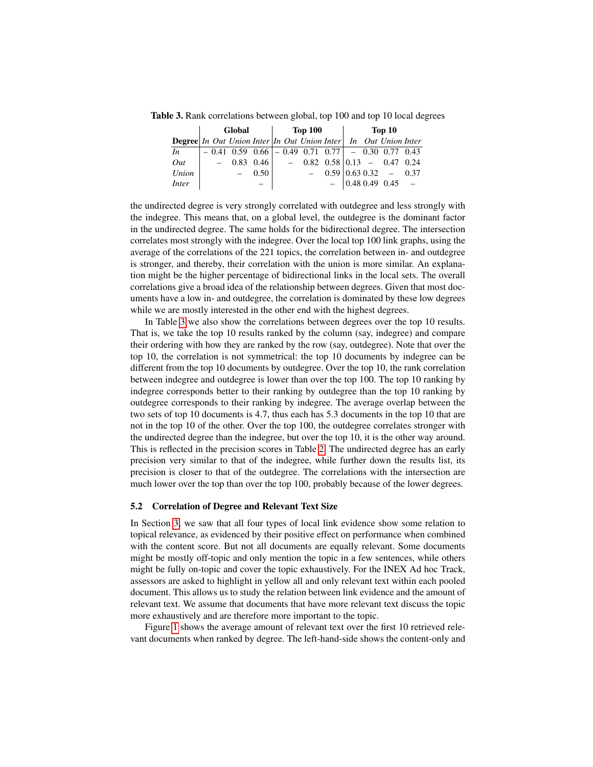Table 3. Rank correlations between global, top 100 and top 10 local degrees

<span id="page-5-0"></span>

|                                                                                                                                                                       | Global |  |         | <b>Top 100</b> |  |  |                                                       | Top 10 |  |  |                             |  |
|-----------------------------------------------------------------------------------------------------------------------------------------------------------------------|--------|--|---------|----------------|--|--|-------------------------------------------------------|--------|--|--|-----------------------------|--|
| <b>Degree</b> In Out Union Inter In Out Union Inter In Out Union Inter                                                                                                |        |  |         |                |  |  |                                                       |        |  |  |                             |  |
| In                                                                                                                                                                    |        |  |         |                |  |  | $-0.41$ 0.59 0.66 $-0.49$ 0.71 0.77 $-0.30$ 0.77 0.43 |        |  |  |                             |  |
| <i>Out</i> $\begin{array}{cccc} - & 0.83 & 0.46 \end{array}$ $\begin{array}{cccc} - & 0.82 & 0.58 \end{array}$ 0.13 $\begin{array}{cccc} - & 0.47 & 0.24 \end{array}$ |        |  |         |                |  |  |                                                       |        |  |  |                             |  |
| Union                                                                                                                                                                 |        |  | $-0.50$ |                |  |  |                                                       |        |  |  | $-$ 0.59 0.63 0.32 $-$ 0.37 |  |
| <i>Inter</i>                                                                                                                                                          |        |  |         |                |  |  |                                                       |        |  |  | $-$ 0.48 0.49 0.45 $-$      |  |

the undirected degree is very strongly correlated with outdegree and less strongly with the indegree. This means that, on a global level, the outdegree is the dominant factor in the undirected degree. The same holds for the bidirectional degree. The intersection correlates most strongly with the indegree. Over the local top 100 link graphs, using the average of the correlations of the 221 topics, the correlation between in- and outdegree is stronger, and thereby, their correlation with the union is more similar. An explanation might be the higher percentage of bidirectional links in the local sets. The overall correlations give a broad idea of the relationship between degrees. Given that most documents have a low in- and outdegree, the correlation is dominated by these low degrees while we are mostly interested in the other end with the highest degrees.

In Table [3](#page-5-0) we also show the correlations between degrees over the top 10 results. That is, we take the top 10 results ranked by the column (say, indegree) and compare their ordering with how they are ranked by the row (say, outdegree). Note that over the top 10, the correlation is not symmetrical: the top 10 documents by indegree can be different from the top 10 documents by outdegree. Over the top 10, the rank correlation between indegree and outdegree is lower than over the top 100. The top 10 ranking by indegree corresponds better to their ranking by outdegree than the top 10 ranking by outdegree corresponds to their ranking by indegree. The average overlap between the two sets of top 10 documents is 4.7, thus each has 5.3 documents in the top 10 that are not in the top 10 of the other. Over the top 100, the outdegree correlates stronger with the undirected degree than the indegree, but over the top 10, it is the other way around. This is reflected in the precision scores in Table [2.](#page-3-1) The undirected degree has an early precision very similar to that of the indegree, while further down the results list, its precision is closer to that of the outdegree. The correlations with the intersection are much lower over the top than over the top 100, probably because of the lower degrees.

#### 5.2 Correlation of Degree and Relevant Text Size

In Section [3,](#page-2-0) we saw that all four types of local link evidence show some relation to topical relevance, as evidenced by their positive effect on performance when combined with the content score. But not all documents are equally relevant. Some documents might be mostly off-topic and only mention the topic in a few sentences, while others might be fully on-topic and cover the topic exhaustively. For the INEX Ad hoc Track, assessors are asked to highlight in yellow all and only relevant text within each pooled document. This allows us to study the relation between link evidence and the amount of relevant text. We assume that documents that have more relevant text discuss the topic more exhaustively and are therefore more important to the topic.

Figure [1](#page-6-1) shows the average amount of relevant text over the first 10 retrieved relevant documents when ranked by degree. The left-hand-side shows the content-only and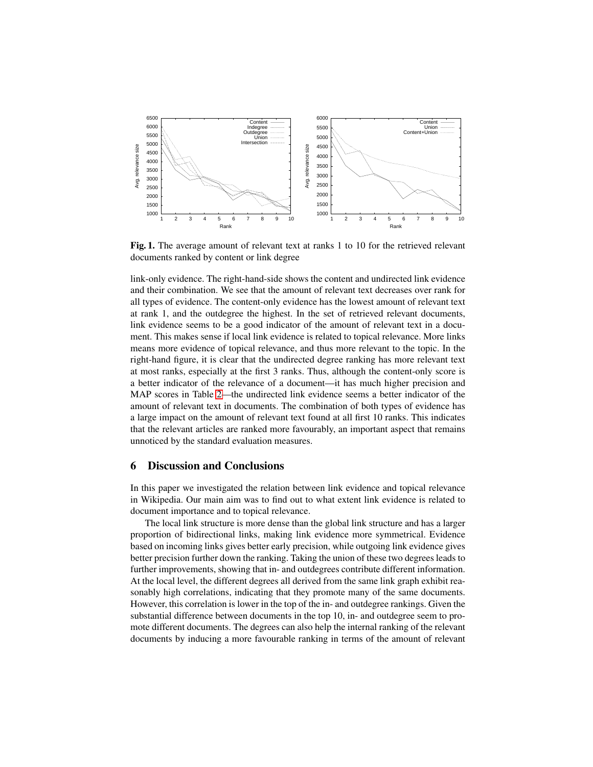

<span id="page-6-1"></span>Fig. 1. The average amount of relevant text at ranks 1 to 10 for the retrieved relevant documents ranked by content or link degree

link-only evidence. The right-hand-side shows the content and undirected link evidence and their combination. We see that the amount of relevant text decreases over rank for all types of evidence. The content-only evidence has the lowest amount of relevant text at rank 1, and the outdegree the highest. In the set of retrieved relevant documents, link evidence seems to be a good indicator of the amount of relevant text in a document. This makes sense if local link evidence is related to topical relevance. More links means more evidence of topical relevance, and thus more relevant to the topic. In the right-hand figure, it is clear that the undirected degree ranking has more relevant text at most ranks, especially at the first 3 ranks. Thus, although the content-only score is a better indicator of the relevance of a document—it has much higher precision and MAP scores in Table [2—](#page-3-1)the undirected link evidence seems a better indicator of the amount of relevant text in documents. The combination of both types of evidence has a large impact on the amount of relevant text found at all first 10 ranks. This indicates that the relevant articles are ranked more favourably, an important aspect that remains unnoticed by the standard evaluation measures.

### <span id="page-6-0"></span>6 Discussion and Conclusions

In this paper we investigated the relation between link evidence and topical relevance in Wikipedia. Our main aim was to find out to what extent link evidence is related to document importance and to topical relevance.

The local link structure is more dense than the global link structure and has a larger proportion of bidirectional links, making link evidence more symmetrical. Evidence based on incoming links gives better early precision, while outgoing link evidence gives better precision further down the ranking. Taking the union of these two degrees leads to further improvements, showing that in- and outdegrees contribute different information. At the local level, the different degrees all derived from the same link graph exhibit reasonably high correlations, indicating that they promote many of the same documents. However, this correlation is lower in the top of the in- and outdegree rankings. Given the substantial difference between documents in the top 10, in- and outdegree seem to promote different documents. The degrees can also help the internal ranking of the relevant documents by inducing a more favourable ranking in terms of the amount of relevant